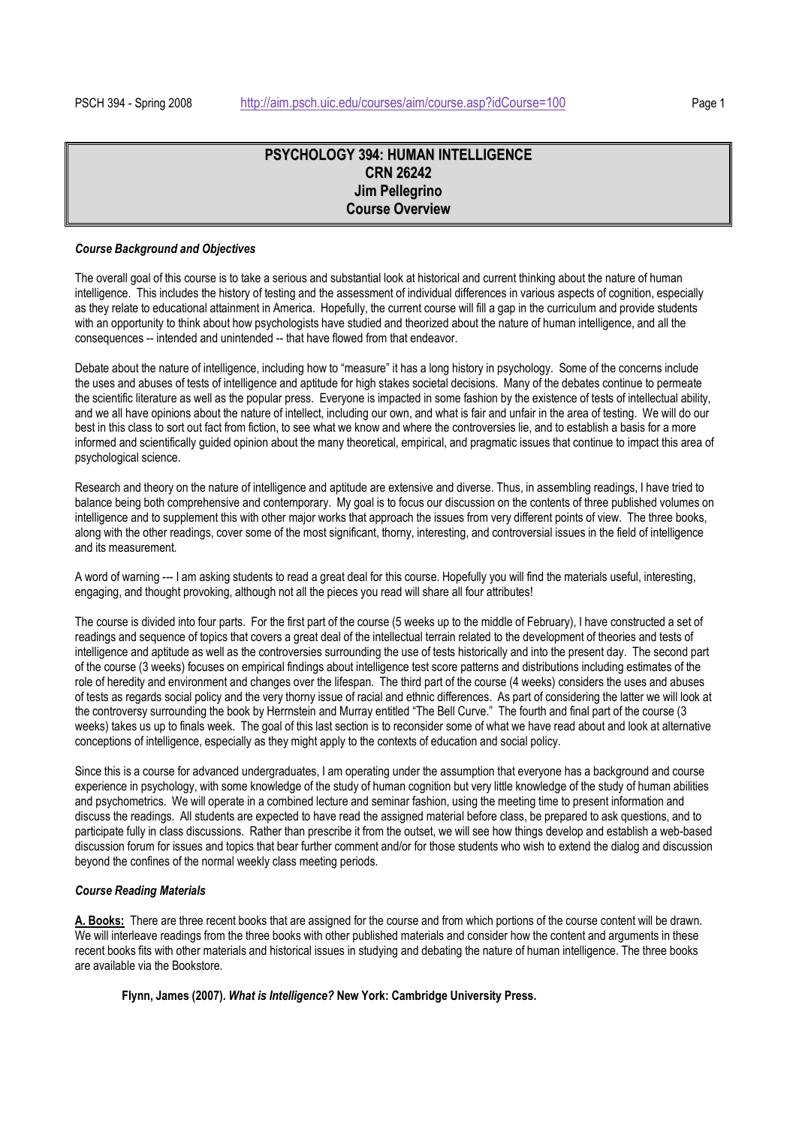# **PSYCHOLOGY 394: HUMAN INTELLIGENCE CRN 26242 Jim Pellegrino Course Overview**

## *Course Background and Objectives*

The overall goal of this course is to take a serious and substantial look at historical and current thinking about the nature of human intelligence. This includes the history of testing and the assessment of individual differences in various aspects of cognition, especially as they relate to educational attainment in America. Hopefully, the current course will fill a gap in the curriculum and provide students with an opportunity to think about how psychologists have studied and theorized about the nature of human intelligence, and all the consequences -- intended and unintended -- that have flowed from that endeavor.

Debate about the nature of intelligence, including how to "measure" it has a long history in psychology. Some of the concerns include the uses and abuses of tests of intelligence and aptitude for high stakes societal decisions. Many of the debates continue to permeate the scientific literature as well as the popular press. Everyone is impacted in some fashion by the existence of tests of intellectual ability, and we all have opinions about the nature of intellect, including our own, and what is fair and unfair in the area of testing. We will do our best in this class to sort out fact from fiction, to see what we know and where the controversies lie, and to establish a basis for a more informed and scientifically guided opinion about the many theoretical, empirical, and pragmatic issues that continue to impact this area of psychological science.

Research and theory on the nature of intelligence and aptitude are extensive and diverse. Thus, in assembling readings, I have tried to balance being both comprehensive and contemporary. My goal is to focus our discussion on the contents of three published volumes on intelligence and to supplement this with other major works that approach the issues from very different points of view. The three books, along with the other readings, cover some of the most significant, thorny, interesting, and controversial issues in the field of intelligence and its measurement.

A word of warning --- I am asking students to read a great deal for this course. Hopefully you will find the materials useful, interesting, engaging, and thought provoking, although not all the pieces you read will share all four attributes!

The course is divided into four parts. For the first part of the course (5 weeks up to the middle of February), I have constructed a set of readings and sequence of topics that covers a great deal of the intellectual terrain related to the development of theories and tests of intelligence and aptitude as well as the controversies surrounding the use of tests historically and into the present day. The second part of the course (3 weeks) focuses on empirical findings about intelligence test score patterns and distributions including estimates of the role of heredity and environment and changes over the lifespan. The third part of the course (4 weeks) considers the uses and abuses of tests as regards social policy and the very thorny issue of racial and ethnic differences. As part of considering the latter we will look at the controversy surrounding the book by Herrnstein and Murray entitled "The Bell Curve." The fourth and final part of the course (3 weeks) takes us up to finals week. The goal of this last section is to reconsider some of what we have read about and look at alternative conceptions of intelligence, especially as they might apply to the contexts of education and social policy.

Since this is a course for advanced undergraduates, I am operating under the assumption that everyone has a background and course experience in psychology, with some knowledge of the study of human cognition but very little knowledge of the study of human abilities and psychometrics. We will operate in a combined lecture and seminar fashion, using the meeting time to present information and discuss the readings. All students are expected to have read the assigned material before class, be prepared to ask questions, and to participate fully in class discussions. Rather than prescribe it from the outset, we will see how things develop and establish a web-based discussion forum for issues and topics that bear further comment and/or for those students who wish to extend the dialog and discussion beyond the confines of the normal weekly class meeting periods.

## *Course Reading Materials*

**A. Books:** There are three recent books that are assigned for the course and from which portions of the course content will be drawn. We will interleave readings from the three books with other published materials and consider how the content and arguments in these recent books fits with other materials and historical issues in studying and debating the nature of human intelligence. The three books are available via the Bookstore.

## **Flynn, James (2007).** *What is Intelligence?* **New York: Cambridge University Press.**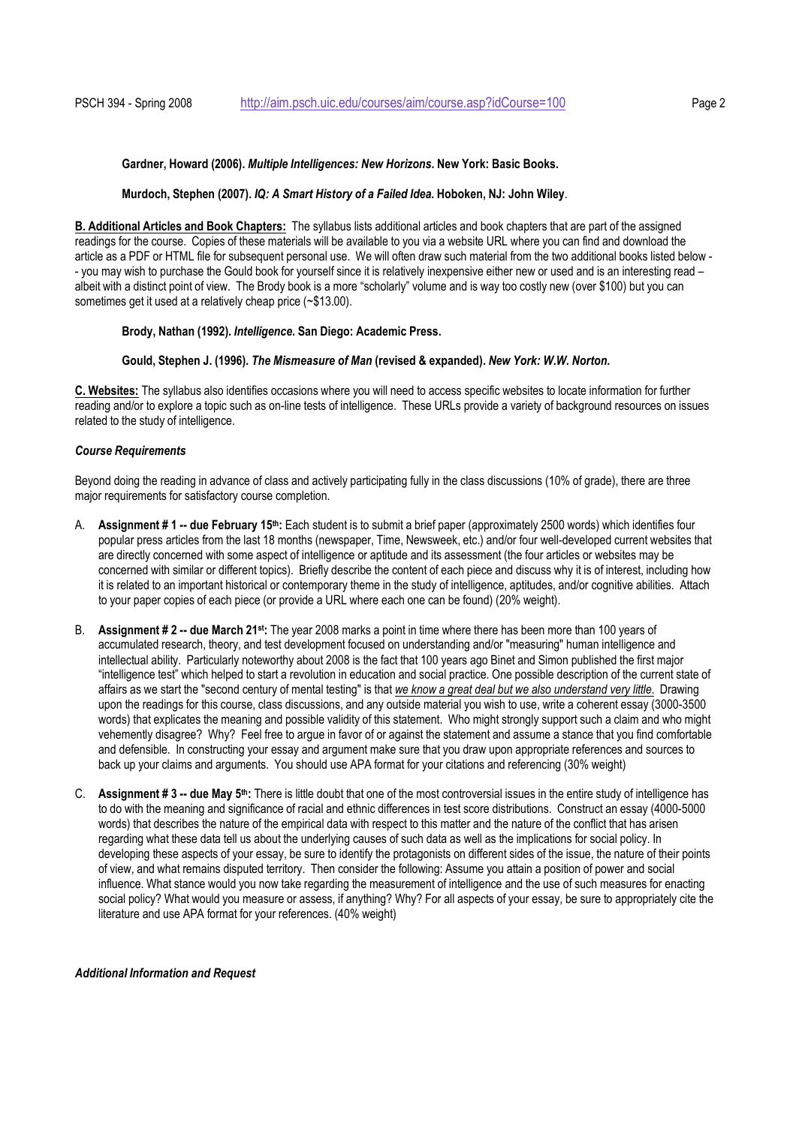#### **Gardner, Howard (2006).** *Multiple Intelligences: New Horizons***. New York: Basic Books.**

#### **Murdoch, Stephen (2007).** *IQ: A Smart History of a Failed Idea***. Hoboken, NJ: John Wiley**.

**B. Additional Articles and Book Chapters:** The syllabus lists additional articles and book chapters that are part of the assigned readings for the course. Copies of these materials will be available to you via a website URL where you can find and download the article as a PDF or HTML file for subsequent personal use. We will often draw such material from the two additional books listed below - - you may wish to purchase the Gould book for yourself since it is relatively inexpensive either new or used and is an interesting read – albeit with a distinct point of view. The Brody book is a more "scholarly" volume and is way too costly new (over \$100) but you can sometimes get it used at a relatively cheap price (~\$13.00).

## **Brody, Nathan (1992).** *Intelligence.* **San Diego: Academic Press.**

#### **Gould, Stephen J. (1996).** *The Mismeasure of Man* **(revised & expanded).** *New York: W.W. Norton.*

**C. Websites:** The syllabus also identifies occasions where you will need to access specific websites to locate information for further reading and/or to explore a topic such as on-line tests of intelligence. These URLs provide a variety of background resources on issues related to the study of intelligence.

## *Course Requirements*

Beyond doing the reading in advance of class and actively participating fully in the class discussions (10% of grade), there are three major requirements for satisfactory course completion.

- A. **Assignment # 1 -- due February 15th:** Each student is to submit a brief paper (approximately 2500 words) which identifies four popular press articles from the last 18 months (newspaper, Time, Newsweek, etc.) and/or four well-developed current websites that are directly concerned with some aspect of intelligence or aptitude and its assessment (the four articles or websites may be concerned with similar or different topics). Briefly describe the content of each piece and discuss why it is of interest, including how it is related to an important historical or contemporary theme in the study of intelligence, aptitudes, and/or cognitive abilities. Attach to your paper copies of each piece (or provide a URL where each one can be found) (20% weight).
- B. **Assignment # 2 -- due March 21st:** The year 2008 marks a point in time where there has been more than 100 years of accumulated research, theory, and test development focused on understanding and/or "measuring" human intelligence and intellectual ability. Particularly noteworthy about 2008 is the fact that 100 years ago Binet and Simon published the first major "intelligence test" which helped to start a revolution in education and social practice. One possible description of the current state of affairs as we start the "second century of mental testing" is that *we know a great deal but we also understand very little*. Drawing upon the readings for this course, class discussions, and any outside material you wish to use, write a coherent essay (3000-3500 words) that explicates the meaning and possible validity of this statement. Who might strongly support such a claim and who might vehemently disagree? Why? Feel free to argue in favor of or against the statement and assume a stance that you find comfortable and defensible. In constructing your essay and argument make sure that you draw upon appropriate references and sources to back up your claims and arguments. You should use APA format for your citations and referencing (30% weight)
- C. **Assignment # 3 -- due May 5th:** There is little doubt that one of the most controversial issues in the entire study of intelligence has to do with the meaning and significance of racial and ethnic differences in test score distributions. Construct an essay (4000-5000 words) that describes the nature of the empirical data with respect to this matter and the nature of the conflict that has arisen regarding what these data tell us about the underlying causes of such data as well as the implications for social policy. In developing these aspects of your essay, be sure to identify the protagonists on different sides of the issue, the nature of their points of view, and what remains disputed territory. Then consider the following: Assume you attain a position of power and social influence. What stance would you now take regarding the measurement of intelligence and the use of such measures for enacting social policy? What would you measure or assess, if anything? Why? For all aspects of your essay, be sure to appropriately cite the literature and use APA format for your references. (40% weight)

*Additional Information and Request*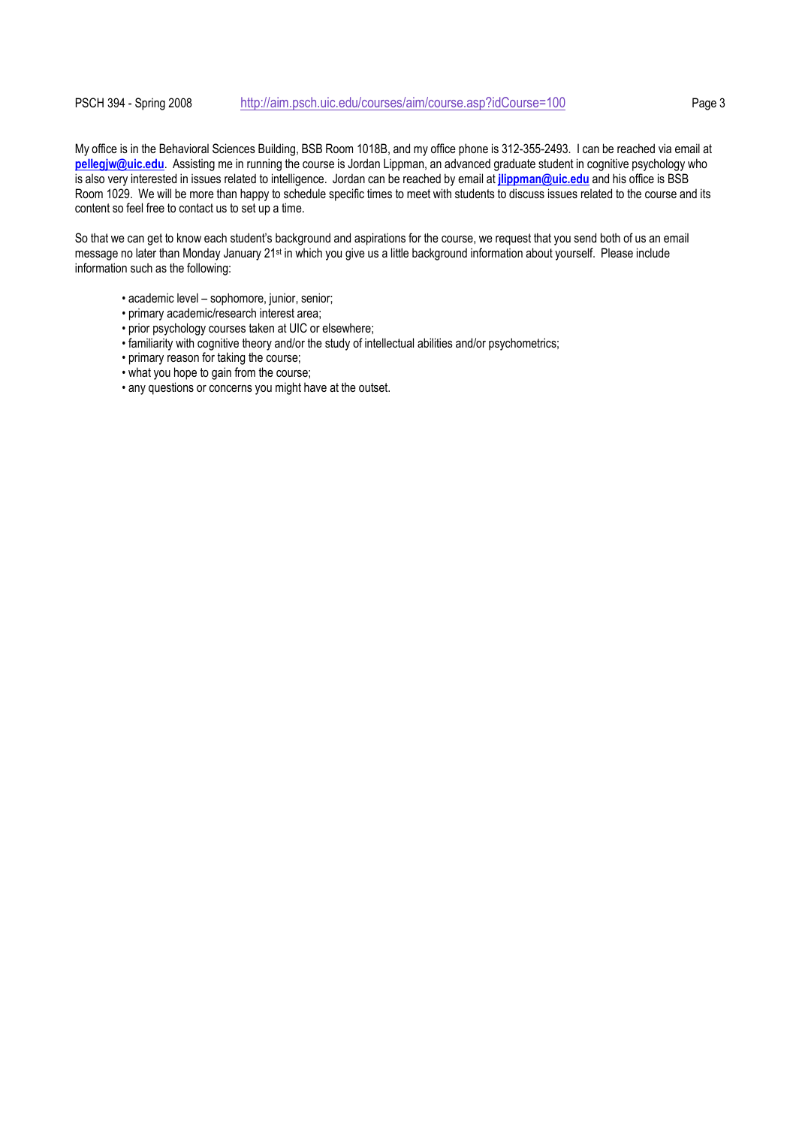## PSCH 394 - Spring 2008 http://aim.psch.uic.edu/courses/aim/course.asp?idCourse=100 Page 3

My office is in the Behavioral Sciences Building, BSB Room 1018B, and my office phone is 312-355-2493. I can be reached via email at **pellegjw@uic.edu**. Assisting me in running the course is Jordan Lippman, an advanced graduate student in cognitive psychology who is also very interested in issues related to intelligence. Jordan can be reached by email at **jlippman@uic.edu** and his office is BSB Room 1029. We will be more than happy to schedule specific times to meet with students to discuss issues related to the course and its content so feel free to contact us to set up a time.

So that we can get to know each student's background and aspirations for the course, we request that you send both of us an email message no later than Monday January 21st in which you give us a little background information about yourself. Please include information such as the following:

- academic level sophomore, junior, senior;
- primary academic/research interest area;
- prior psychology courses taken at UIC or elsewhere;
- familiarity with cognitive theory and/or the study of intellectual abilities and/or psychometrics;
- primary reason for taking the course;
- what you hope to gain from the course;
- any questions or concerns you might have at the outset.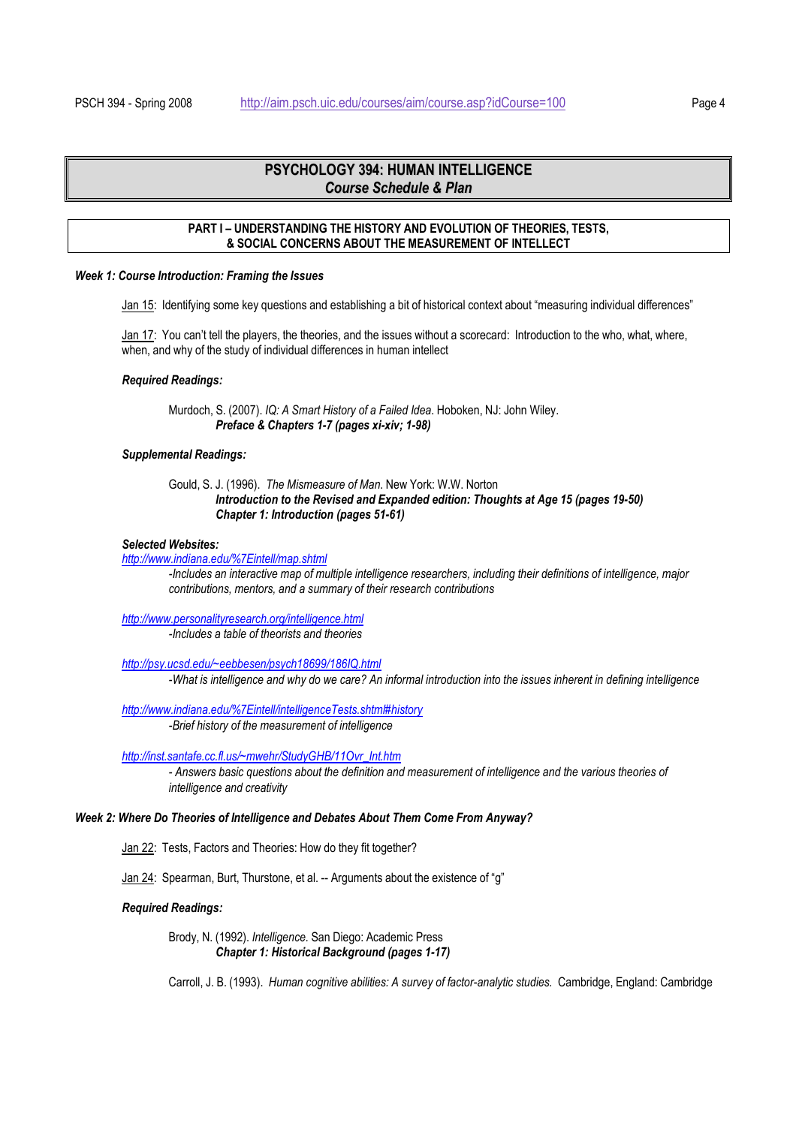# **PSYCHOLOGY 394: HUMAN INTELLIGENCE** *Course Schedule & Plan*

## **PART I – UNDERSTANDING THE HISTORY AND EVOLUTION OF THEORIES, TESTS, & SOCIAL CONCERNS ABOUT THE MEASUREMENT OF INTELLECT**

#### *Week 1: Course Introduction: Framing the Issues*

Jan 15: Identifying some key questions and establishing a bit of historical context about "measuring individual differences"

Jan 17: You can't tell the players, the theories, and the issues without a scorecard: Introduction to the who, what, where, when, and why of the study of individual differences in human intellect

#### *Required Readings:*

Murdoch, S. (2007). *IQ: A Smart History of a Failed Idea*. Hoboken, NJ: John Wiley. *Preface & Chapters 1-7 (pages xi-xiv; 1-98)*

#### *Supplemental Readings:*

## Gould, S. J. (1996). *The Mismeasure of Man*. New York: W.W. Norton *Introduction to the Revised and Expanded edition: Thoughts at Age 15 (pages 19-50) Chapter 1: Introduction (pages 51-61)*

#### *Selected Websites:*

*http://www.indiana.edu/%7Eintell/map.shtml* 

*-Includes an interactive map of multiple intelligence researchers, including their definitions of intelligence, major contributions, mentors, and a summary of their research contributions* 

*http://www.personalityresearch.org/intelligence.html -Includes a table of theorists and theories* 

*http://psy.ucsd.edu/~eebbesen/psych18699/186IQ.html -What is intelligence and why do we care? An informal introduction into the issues inherent in defining intelligence*

*http://www.indiana.edu/%7Eintell/intelligenceTests.shtml#history -Brief history of the measurement of intelligence* 

*http://inst.santafe.cc.fl.us/~mwehr/StudyGHB/11Ovr\_Int.htm*

*- Answers basic questions about the definition and measurement of intelligence and the various theories of intelligence and creativity* 

#### *Week 2: Where Do Theories of Intelligence and Debates About Them Come From Anyway?*

Jan 22: Tests, Factors and Theories: How do they fit together?

Jan 24: Spearman, Burt, Thurstone, et al. -- Arguments about the existence of "g"

#### *Required Readings:*

 Brody, N. (1992). *Intelligence.* San Diego: Academic Press *Chapter 1: Historical Background (pages 1-17)* 

Carroll, J. B. (1993). *Human cognitive abilities: A survey of factor-analytic studies.* Cambridge, England: Cambridge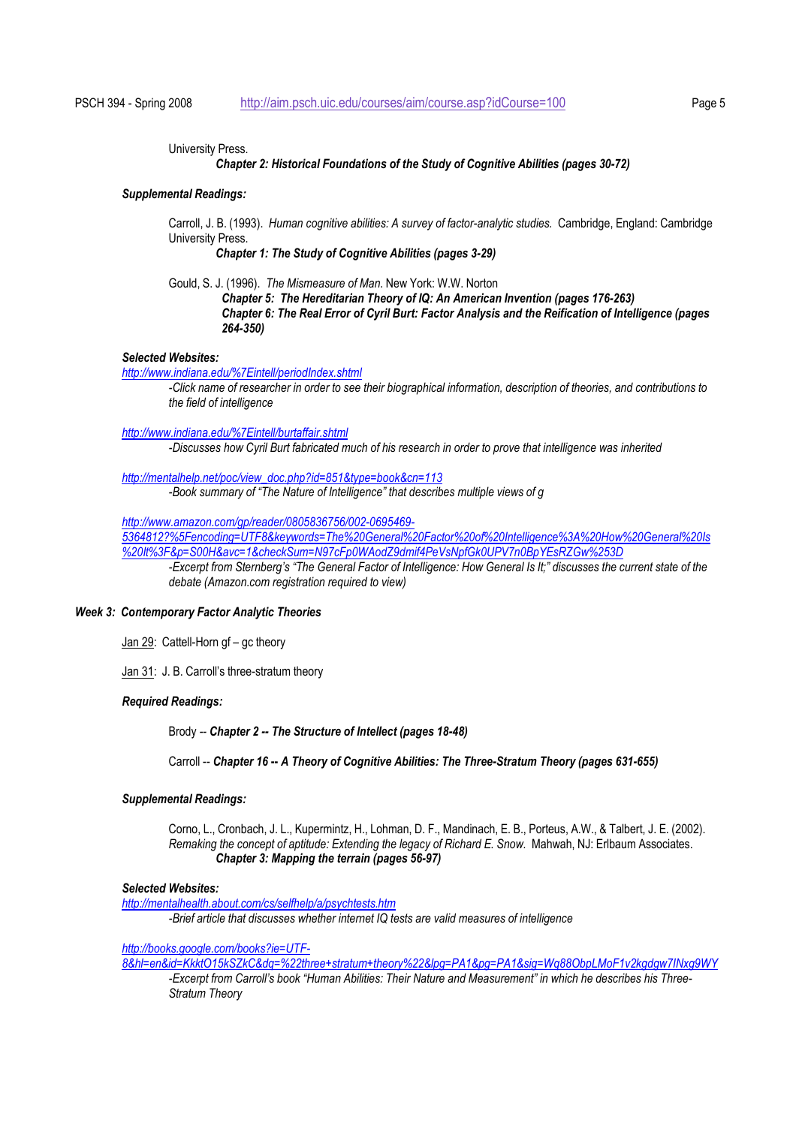University Press.

#### *Chapter 2: Historical Foundations of the Study of Cognitive Abilities (pages 30-72)*

#### *Supplemental Readings:*

Carroll, J. B. (1993). *Human cognitive abilities: A survey of factor-analytic studies.* Cambridge, England: Cambridge University Press.

*Chapter 1: The Study of Cognitive Abilities (pages 3-29)* 

Gould, S. J. (1996). *The Mismeasure of Man*. New York: W.W. Norton

*Chapter 5: The Hereditarian Theory of IQ: An American Invention (pages 176-263) Chapter 6: The Real Error of Cyril Burt: Factor Analysis and the Reification of Intelligence (pages 264-350)*

## *Selected Websites:*

*http://www.indiana.edu/%7Eintell/periodIndex.shtml*

*-Click name of researcher in order to see their biographical information, description of theories, and contributions to the field of intelligence* 

*http://www.indiana.edu/%7Eintell/burtaffair.shtml -Discusses how Cyril Burt fabricated much of his research in order to prove that intelligence was inherited* 

*http://mentalhelp.net/poc/view\_doc.php?id=851&type=book&cn=113 -Book summary of "The Nature of Intelligence" that describes multiple views of g* 

*http://www.amazon.com/gp/reader/0805836756/002-0695469-*

*5364812?%5Fencoding=UTF8&keywords=The%20General%20Factor%20of%20Intelligence%3A%20How%20General%20Is %20It%3F&p=S00H&avc=1&checkSum=N97cFp0WAodZ9dmif4PeVsNpfGk0UPV7n0BpYEsRZGw%253D*

*-Excerpt from Sternberg's "The General Factor of Intelligence: How General Is It;" discusses the current state of the debate (Amazon.com registration required to view)* 

## *Week 3: Contemporary Factor Analytic Theories*

Jan 29: Cattell-Horn gf – gc theory

Jan 31: J. B. Carroll's three-stratum theory

## *Required Readings:*

Brody *-- Chapter 2 -- The Structure of Intellect (pages 18-48)*

Carroll -- *Chapter 16* **--** *A Theory of Cognitive Abilities: The Three-Stratum Theory (pages 631-655)*

#### *Supplemental Readings:*

Corno, L., Cronbach, J. L., Kupermintz, H., Lohman, D. F., Mandinach, E. B., Porteus, A.W., & Talbert, J. E. (2002). *Remaking the concept of aptitude: Extending the legacy of Richard E. Snow.* Mahwah, NJ: Erlbaum Associates. *Chapter 3: Mapping the terrain (pages 56-97)* 

#### *Selected Websites:*

*http://mentalhealth.about.com/cs/selfhelp/a/psychtests.htm*

*-Brief article that discusses whether internet IQ tests are valid measures of intelligence* 

## *http://books.google.com/books?ie=UTF-*

*8&hl=en&id=KkktO15kSZkC&dq=%22three+stratum+theory%22&lpg=PA1&pg=PA1&sig=Wq88ObpLMoF1v2kgdgw7INxg9WY -Excerpt from Carroll's book "Human Abilities: Their Nature and Measurement" in which he describes his Three-Stratum Theory*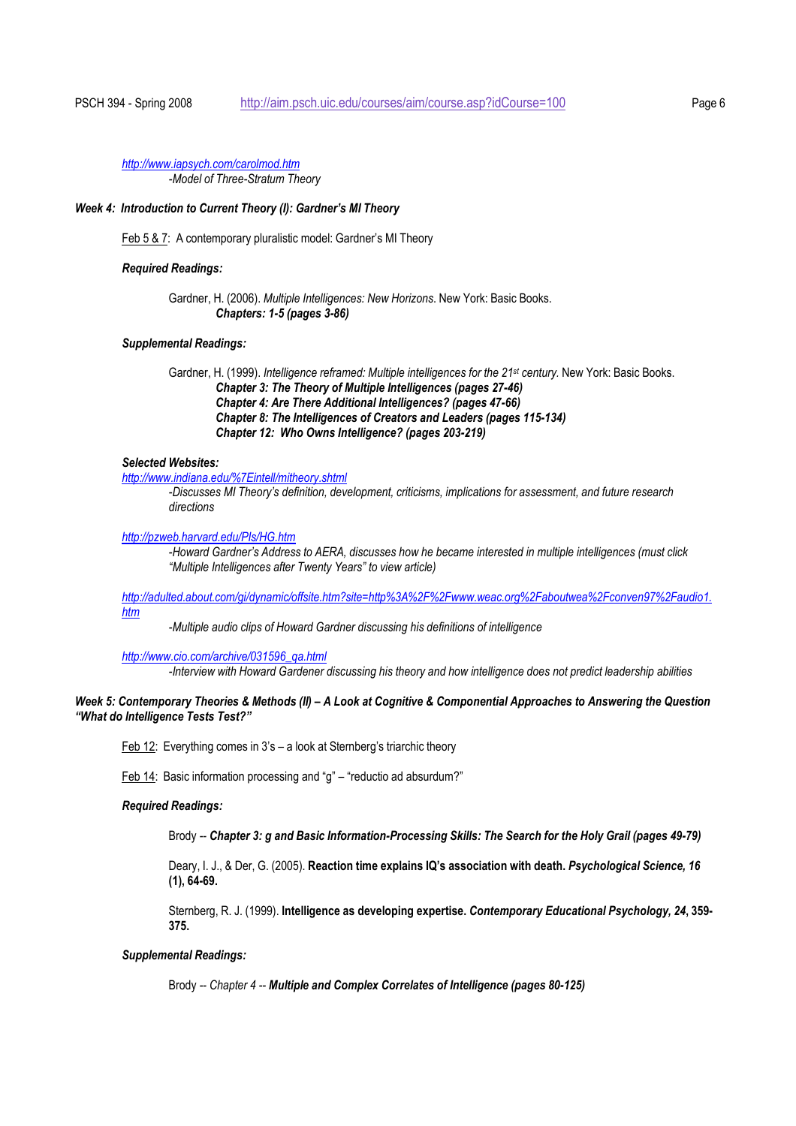*http://www.iapsych.com/carolmod.htm -Model of Three-Stratum Theory* 

#### *Week 4: Introduction to Current Theory (I): Gardner's MI Theory*

Feb 5 & 7: A contemporary pluralistic model: Gardner's MI Theory

#### *Required Readings:*

Gardner, H. (2006). *Multiple Intelligences: New Horizons*. New York: Basic Books. *Chapters: 1-5 (pages 3-86)* 

## *Supplemental Readings:*

Gardner, H. (1999). *Intelligence reframed: Multiple intelligences for the 21st century.* New York: Basic Books. *Chapter 3: The Theory of Multiple Intelligences (pages 27-46) Chapter 4: Are There Additional Intelligences? (pages 47-66) Chapter 8: The Intelligences of Creators and Leaders (pages 115-134) Chapter 12: Who Owns Intelligence? (pages 203-219)* 

## *Selected Websites:*

*http://www.indiana.edu/%7Eintell/mitheory.shtml*

*-Discusses MI Theory's definition, development, criticisms, implications for assessment, and future research directions* 

*http://pzweb.harvard.edu/PIs/HG.htm*

*-Howard Gardner's Address to AERA, discusses how he became interested in multiple intelligences (must click "Multiple Intelligences after Twenty Years" to view article)* 

*http://adulted.about.com/gi/dynamic/offsite.htm?site=http%3A%2F%2Fwww.weac.org%2Faboutwea%2Fconven97%2Faudio1. htm*

 *-Multiple audio clips of Howard Gardner discussing his definitions of intelligence* 

*http://www.cio.com/archive/031596\_qa.html*

*-Interview with Howard Gardener discussing his theory and how intelligence does not predict leadership abilities* 

## *Week 5: Contemporary Theories & Methods (II) – A Look at Cognitive & Componential Approaches to Answering the Question "What do Intelligence Tests Test?"*

Feb 12: Everything comes in 3's – a look at Sternberg's triarchic theory

Feb 14: Basic information processing and "g" – "reductio ad absurdum?"

#### *Required Readings:*

Brody *-- Chapter 3: g and Basic Information-Processing Skills: The Search for the Holy Grail (pages 49-79)* 

Deary, I. J., & Der, G. (2005). **Reaction time explains IQ's association with death.** *Psychological Science, 16* **(1), 64-69.** 

Sternberg, R. J. (1999). **Intelligence as developing expertise.** *Contemporary Educational Psychology, 24***, 359- 375.** 

#### *Supplemental Readings:*

Brody *-- Chapter 4 -- Multiple and Complex Correlates of Intelligence (pages 80-125)*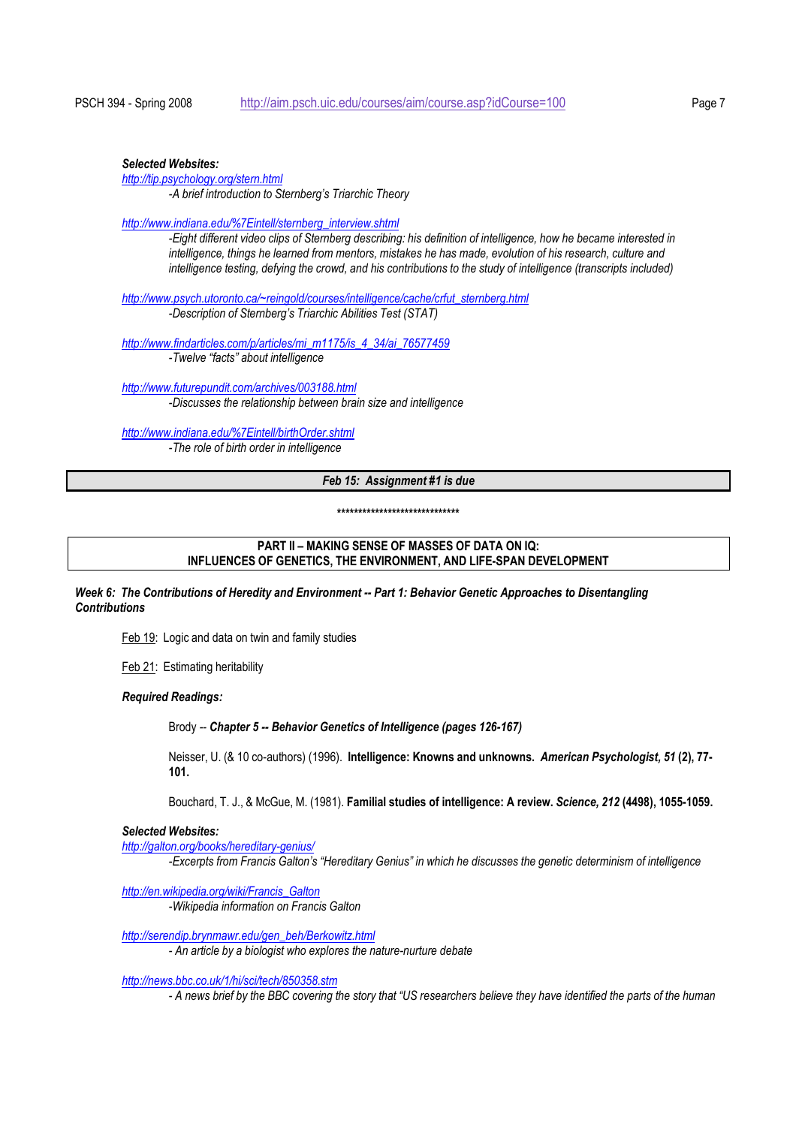#### *Selected Websites:*

*http://tip.psychology.org/stern.html -A brief introduction to Sternberg's Triarchic Theory* 

*http://www.indiana.edu/%7Eintell/sternberg\_interview.shtml*

*-Eight different video clips of Sternberg describing: his definition of intelligence, how he became interested in intelligence, things he learned from mentors, mistakes he has made, evolution of his research, culture and intelligence testing, defying the crowd, and his contributions to the study of intelligence (transcripts included)* 

*http://www.psych.utoronto.ca/~reingold/courses/intelligence/cache/crfut\_sternberg.html*

*-Description of Sternberg's Triarchic Abilities Test (STAT)* 

*http://www.findarticles.com/p/articles/mi\_m1175/is\_4\_34/ai\_76577459 -Twelve "facts" about intelligence* 

*http://www.futurepundit.com/archives/003188.html -Discusses the relationship between brain size and intelligence* 

*http://www.indiana.edu/%7Eintell/birthOrder.shtml*

 *-The role of birth order in intelligence* 

# *Feb 15: Assignment #1 is due*

**\*\*\*\*\*\*\*\*\*\*\*\*\*\*\*\*\*\*\*\*\*\*\*\*\*\*\*\*\*** 

## **PART II – MAKING SENSE OF MASSES OF DATA ON IQ: INFLUENCES OF GENETICS, THE ENVIRONMENT, AND LIFE-SPAN DEVELOPMENT**

*Week 6: The Contributions of Heredity and Environment -- Part 1: Behavior Genetic Approaches to Disentangling Contributions* 

Feb 19: Logic and data on twin and family studies

Feb 21: Estimating heritability

#### *Required Readings:*

Brody *-- Chapter 5 -- Behavior Genetics of Intelligence (pages 126-167)* 

Neisser, U. (& 10 co-authors) (1996). **Intelligence: Knowns and unknowns.** *American Psychologist, 51* **(2), 77- 101.**

Bouchard, T. J., & McGue, M. (1981). **Familial studies of intelligence: A review.** *Science, 212* **(4498), 1055-1059.**

#### *Selected Websites:*

*http://galton.org/books/hereditary-genius/ -Excerpts from Francis Galton's "Hereditary Genius" in which he discusses the genetic determinism of intelligence* 

*http://en.wikipedia.org/wiki/Francis\_Galton*

 *-Wikipedia information on Francis Galton* 

*http://serendip.brynmawr.edu/gen\_beh/Berkowitz.html*

*- An article by a biologist who explores the nature-nurture debate* 

*http://news.bbc.co.uk/1/hi/sci/tech/850358.stm*

*- A news brief by the BBC covering the story that "US researchers believe they have identified the parts of the human*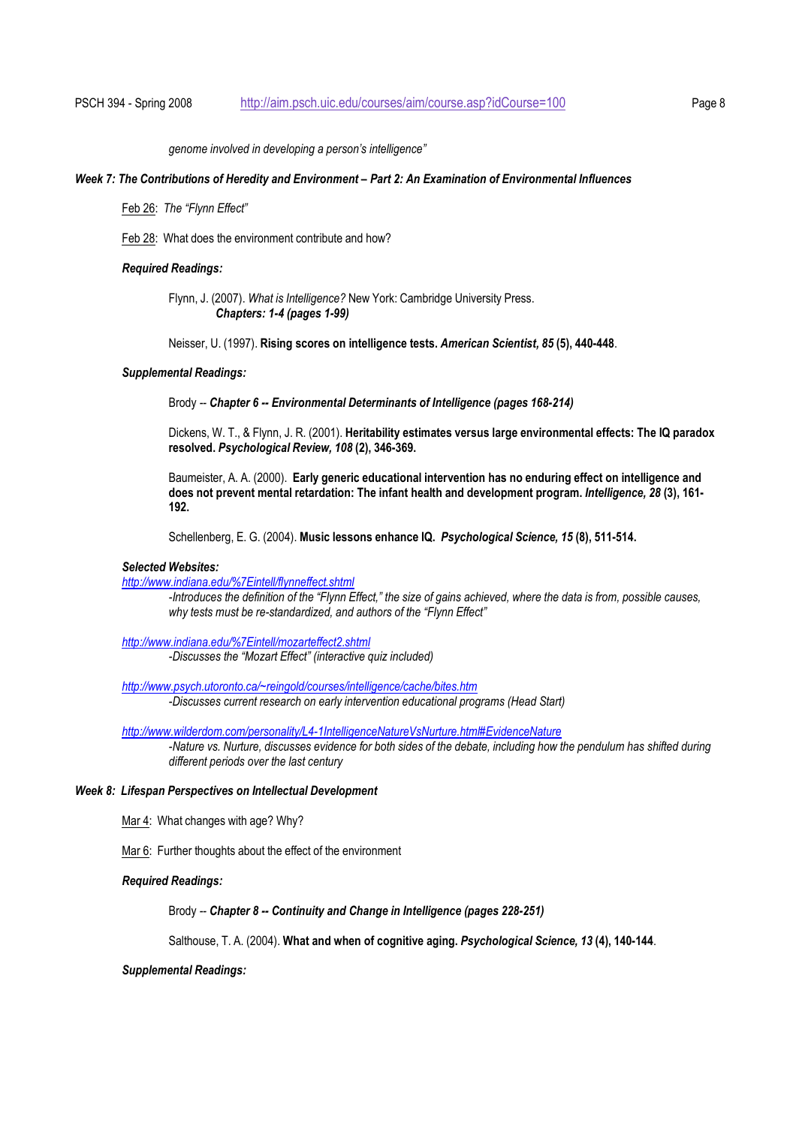*genome involved in developing a person's intelligence"* 

#### *Week 7: The Contributions of Heredity and Environment – Part 2: An Examination of Environmental Influences*

Feb 26: *The "Flynn Effect"* 

Feb 28: What does the environment contribute and how?

#### *Required Readings:*

Flynn, J. (2007). *What is Intelligence?* New York: Cambridge University Press. *Chapters: 1-4 (pages 1-99)* 

Neisser, U. (1997). **Rising scores on intelligence tests.** *American Scientist, 85* **(5), 440-448**.

## *Supplemental Readings:*

Brody *-- Chapter 6 -- Environmental Determinants of Intelligence (pages 168-214)* 

Dickens, W. T., & Flynn, J. R. (2001). **Heritability estimates versus large environmental effects: The IQ paradox resolved.** *Psychological Review, 108* **(2), 346-369.**

Baumeister, A. A. (2000). **Early generic educational intervention has no enduring effect on intelligence and does not prevent mental retardation: The infant health and development program.** *Intelligence, 28* **(3), 161- 192.**

Schellenberg, E. G. (2004). **Music lessons enhance IQ.** *Psychological Science, 15* **(8), 511-514.** 

## *Selected Websites:*

*http://www.indiana.edu/%7Eintell/flynneffect.shtml*

*-Introduces the definition of the "Flynn Effect," the size of gains achieved, where the data is from, possible causes, why tests must be re-standardized, and authors of the "Flynn Effect"* 

*http://www.indiana.edu/%7Eintell/mozarteffect2.shtml*

*-Discusses the "Mozart Effect" (interactive quiz included)* 

*http://www.psych.utoronto.ca/~reingold/courses/intelligence/cache/bites.htm -Discusses current research on early intervention educational programs (Head Start)* 

*http://www.wilderdom.com/personality/L4-1IntelligenceNatureVsNurture.html#EvidenceNature -Nature vs. Nurture, discusses evidence for both sides of the debate, including how the pendulum has shifted during different periods over the last century* 

#### *Week 8: Lifespan Perspectives on Intellectual Development*

Mar 4: What changes with age? Why?

Mar 6: Further thoughts about the effect of the environment

#### *Required Readings:*

Brody *-- Chapter 8 -- Continuity and Change in Intelligence (pages 228-251)*

Salthouse, T. A. (2004). **What and when of cognitive aging.** *Psychological Science, 13* **(4), 140-144**.

#### *Supplemental Readings:*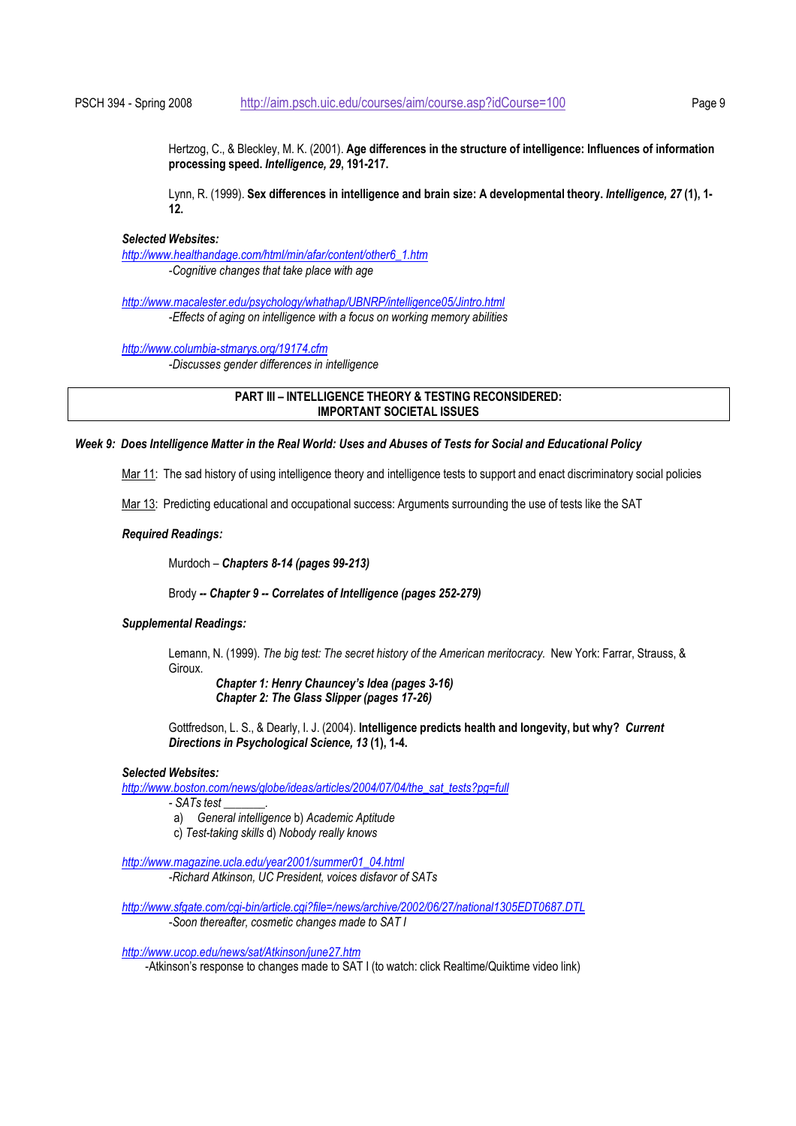Hertzog, C., & Bleckley, M. K. (2001). **Age differences in the structure of intelligence: Influences of information processing speed.** *Intelligence, 29***, 191-217.** 

Lynn, R. (1999). **Sex differences in intelligence and brain size: A developmental theory.** *Intelligence, 27* **(1), 1- 12.** 

#### *Selected Websites:*

*http://www.healthandage.com/html/min/afar/content/other6\_1.htm -Cognitive changes that take place with age* 

*http://www.macalester.edu/psychology/whathap/UBNRP/intelligence05/Jintro.html -Effects of aging on intelligence with a focus on working memory abilities* 

*http://www.columbia-stmarys.org/19174.cfm*

*-Discusses gender differences in intelligence* 

**PART III – INTELLIGENCE THEORY & TESTING RECONSIDERED: IMPORTANT SOCIETAL ISSUES**

### *Week 9: Does Intelligence Matter in the Real World: Uses and Abuses of Tests for Social and Educational Policy*

Mar 11: The sad history of using intelligence theory and intelligence tests to support and enact discriminatory social policies

Mar 13: Predicting educational and occupational success: Arguments surrounding the use of tests like the SAT

#### *Required Readings:*

Murdoch – *Chapters 8-14 (pages 99-213)*

Brody *-- Chapter 9 -- Correlates of Intelligence (pages 252-279)*

## *Supplemental Readings:*

Lemann, N. (1999). *The big test: The secret history of the American meritocracy.* New York: Farrar, Strauss, & Giroux.

*Chapter 1: Henry Chauncey's Idea (pages 3-16) Chapter 2: The Glass Slipper (pages 17-26)* 

Gottfredson, L. S., & Dearly, I. J. (2004). **Intelligence predicts health and longevity, but why?** *Current Directions in Psychological Science, 13* **(1), 1-4.** 

#### *Selected Websites:*

*http://www.boston.com/news/globe/ideas/articles/2004/07/04/the\_sat\_tests?pg=full*

- *SATs test \_\_\_\_\_\_\_.*
- a) *General intelligence* b) *Academic Aptitude*
- c) *Test-taking skills* d) *Nobody really knows*

 *http://www.magazine.ucla.edu/year2001/summer01\_04.html -Richard Atkinson, UC President, voices disfavor of SATs* 

*http://www.sfgate.com/cgi-bin/article.cgi?file=/news/archive/2002/06/27/national1305EDT0687.DTL*

*-Soon thereafter, cosmetic changes made to SAT I* 

*http://www.ucop.edu/news/sat/Atkinson/june27.htm*

-Atkinson's response to changes made to SAT I (to watch: click Realtime/Quiktime video link)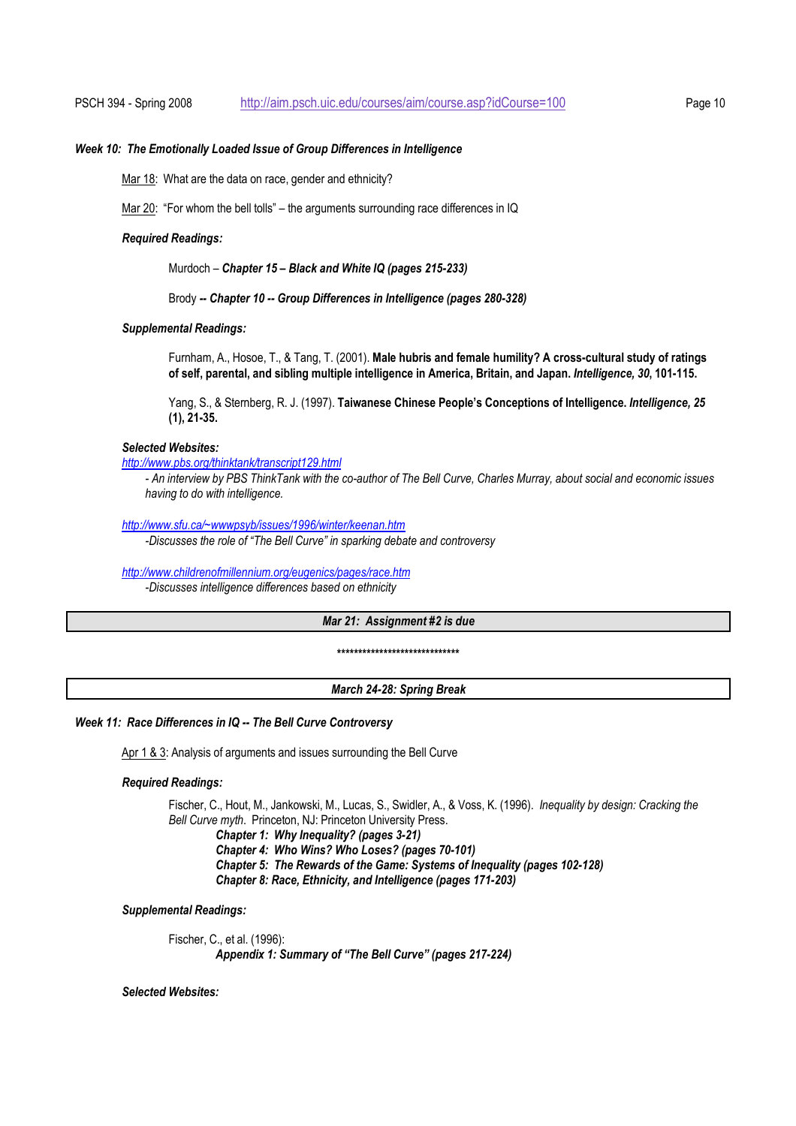#### *Week 10: The Emotionally Loaded Issue of Group Differences in Intelligence*

Mar 18: What are the data on race, gender and ethnicity?

Mar 20: "For whom the bell tolls" – the arguments surrounding race differences in IQ

#### *Required Readings:*

Murdoch – *Chapter 15 – Black and White IQ (pages 215-233)*

Brody *-- Chapter 10 -- Group Differences in Intelligence (pages 280-328)*

## *Supplemental Readings:*

Furnham, A., Hosoe, T., & Tang, T. (2001). **Male hubris and female humility? A cross-cultural study of ratings of self, parental, and sibling multiple intelligence in America, Britain, and Japan.** *Intelligence, 30***, 101-115.** 

Yang, S., & Sternberg, R. J. (1997). **Taiwanese Chinese People's Conceptions of Intelligence.** *Intelligence, 25* **(1), 21-35.** 

### *Selected Websites:*

## *http://www.pbs.org/thinktank/transcript129.html*

*- An interview by PBS ThinkTank with the co-author of The Bell Curve, Charles Murray, about social and economic issues having to do with intelligence.* 

*http://www.sfu.ca/~wwwpsyb/issues/1996/winter/keenan.htm*

*-Discusses the role of "The Bell Curve" in sparking debate and controversy* 

#### *http://www.childrenofmillennium.org/eugenics/pages/race.htm*

*-Discusses intelligence differences based on ethnicity* 

## *Mar 21: Assignment #2 is due*

**\*\*\*\*\*\*\*\*\*\*\*\*\*\*\*\*\*\*\*\*\*\*\*\*\*\*\*\*\*** 

#### *March 24-28: Spring Break*

#### *Week 11: Race Differences in IQ -- The Bell Curve Controversy*

Apr 1 & 3: Analysis of arguments and issues surrounding the Bell Curve

## *Required Readings:*

Fischer, C., Hout, M., Jankowski, M., Lucas, S., Swidler, A., & Voss, K. (1996). *Inequality by design: Cracking the Bell Curve myth*. Princeton, NJ: Princeton University Press.

*Chapter 1:**Why Inequality? (pages 3-21) Chapter 4: Who Wins? Who Loses? (pages 70-101) Chapter 5: The Rewards of the Game: Systems of Inequality (pages 102-128) Chapter 8: Race, Ethnicity, and Intelligence (pages 171-203)* 

#### *Supplemental Readings:*

Fischer, C., et al. (1996): *Appendix 1: Summary of "The Bell Curve" (pages 217-224)* 

## *Selected Websites:*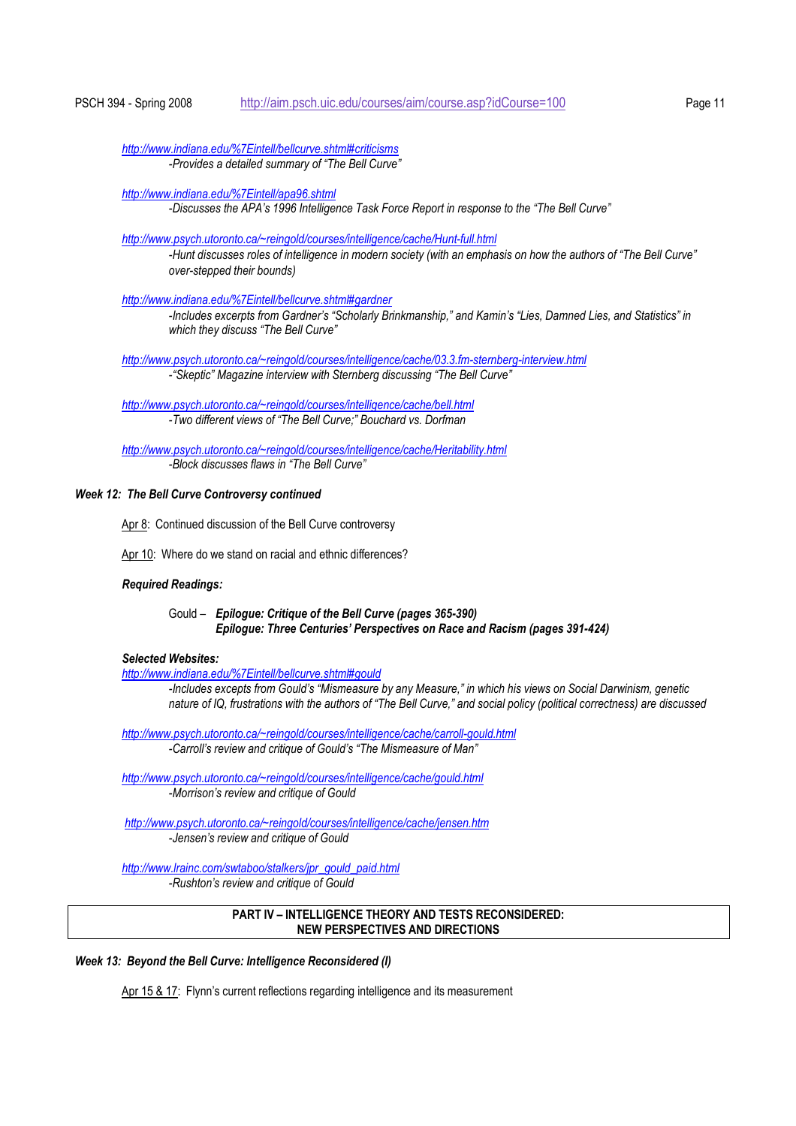*http://www.indiana.edu/%7Eintell/bellcurve.shtml#criticisms -Provides a detailed summary of "The Bell Curve"* 

*http://www.indiana.edu/%7Eintell/apa96.shtml*

*-Discusses the APA's 1996 Intelligence Task Force Report in response to the "The Bell Curve"* 

*http://www.psych.utoronto.ca/~reingold/courses/intelligence/cache/Hunt-full.html*

*-Hunt discusses roles of intelligence in modern society (with an emphasis on how the authors of "The Bell Curve" over-stepped their bounds)* 

*http://www.indiana.edu/%7Eintell/bellcurve.shtml#gardner*

 *-Includes excerpts from Gardner's "Scholarly Brinkmanship," and Kamin's "Lies, Damned Lies, and Statistics" in which they discuss "The Bell Curve"* 

*http://www.psych.utoronto.ca/~reingold/courses/intelligence/cache/03.3.fm-sternberg-interview.html -"Skeptic" Magazine interview with Sternberg discussing "The Bell Curve"* 

*http://www.psych.utoronto.ca/~reingold/courses/intelligence/cache/bell.html -Two different views of "The Bell Curve;" Bouchard vs. Dorfman* 

*http://www.psych.utoronto.ca/~reingold/courses/intelligence/cache/Heritability.html -Block discusses flaws in "The Bell Curve"* 

#### *Week 12: The Bell Curve Controversy continued*

Apr 8: Continued discussion of the Bell Curve controversy

Apr 10: Where do we stand on racial and ethnic differences?

#### *Required Readings:*

Gould – *Epilogue: Critique of the Bell Curve (pages 365-390) Epilogue: Three Centuries' Perspectives on Race and Racism (pages 391-424)* 

## *Selected Websites:*

*http://www.indiana.edu/%7Eintell/bellcurve.shtml#gould*

*-Includes excepts from Gould's "Mismeasure by any Measure," in which his views on Social Darwinism, genetic nature of IQ, frustrations with the authors of "The Bell Curve," and social policy (political correctness) are discussed* 

*http://www.psych.utoronto.ca/~reingold/courses/intelligence/cache/carroll-gould.html -Carroll's review and critique of Gould's "The Mismeasure of Man"* 

*http://www.psych.utoronto.ca/~reingold/courses/intelligence/cache/gould.html -Morrison's review and critique of Gould* 

*http://www.psych.utoronto.ca/~reingold/courses/intelligence/cache/jensen.htm -Jensen's review and critique of Gould* 

*http://www.lrainc.com/swtaboo/stalkers/jpr\_gould\_paid.html -Rushton's review and critique of Gould* 

## **PART IV – INTELLIGENCE THEORY AND TESTS RECONSIDERED: NEW PERSPECTIVES AND DIRECTIONS**

*Week 13: Beyond the Bell Curve: Intelligence Reconsidered (I)* 

Apr 15 & 17: Flynn's current reflections regarding intelligence and its measurement